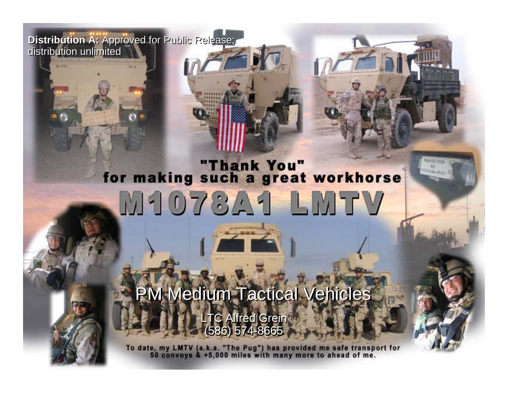**Distribution A:** Approved for Public Release; **Distribution A:** Approved for Public Release; distribution unlimited distribution unlimited

 $\frac{1}{2}$ 

*NDIA TWV Conference*

# "Thank You"<br>for making such a great workhorse M1078A1 LMTV

**PRINTECTED STAN de PLYIN** 

PM Medium Tactical Vehicles LTC Alfred Grein (586) 574-8665 LTC Alfred Grein (586) 574-8665

To date, my LMTV (a.k.a. "The Pug") has provided me safe transport for<br>50 convoys & +5,000 miles with many more to ahead of me.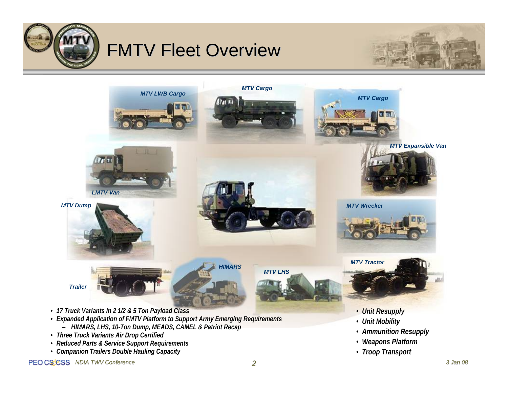

# **FMTV Fleet Overview**





- *Expanded Application of FMTV Platform to Support Army Emerging Requirements*
	- *HIMARS, LHS, 10-Ton Dump, MEADS, CAMEL & Patriot Recap*
- *Three Truck Variants Air Drop Certified*
- *Reduced Parts & Service Support Requirements*
- *Companion Trailers Double Hauling Capacity*

#### PEO CS'CSS NDIA TWV Conference *2*

• *Unit Mobility*

• *Ammunition Resupply* • *Weapons Platform* • *Troop Transport*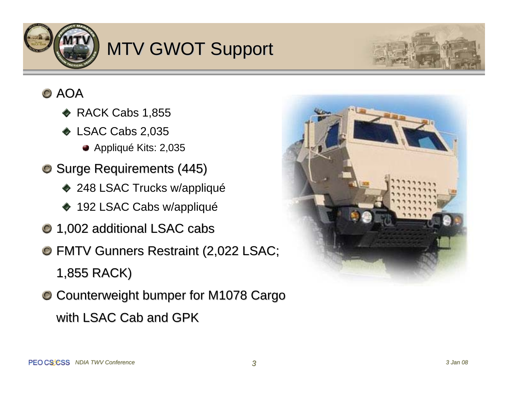

# MTV GWOT Support



## AOA

- $\blacklozenge$  RACK Cabs 1,855
- ◆ LSAC Cabs 2,035
	- Appliqué Kits: 2,035
- **O** Surge Requirements (445)
	- ◆ 248 LSAC Trucks w/appliqué
	- ◆ 192 LSAC Cabs w/appliqué
- 1,002 additional LSAC cabs 1,002 additional LSAC cabs
- **O FMTV Gunners Restraint (2,022 LSAC;** 1,855 RACK) 1,855 RACK)
- Counterweight bumper for M1078 Cargo Counterweight bumper for M1078 Cargo with LSAC Cab and GPK

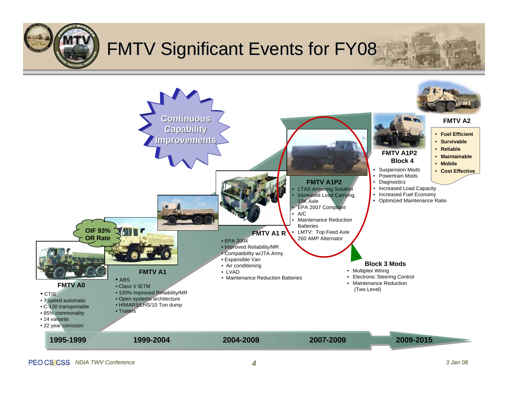# **FMTV Significant Events for FY08**

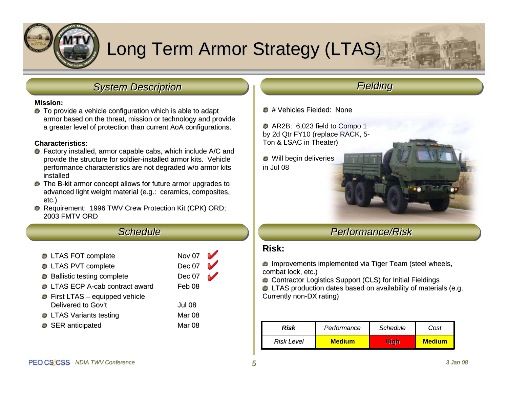

# Long Term Armor Strategy (LTAS)

## *System Description System Description*

#### **Mission: Mission:**

 $\bullet$  To provide a vehicle configuration which is able to adapt armor based on the threat, mission or technology and provide a greater level of protection than current AoA configurations.

#### **Characteristics: Characteristics:**

- $\bullet$  Factory installed, armor capable cabs, which include A/C and provide the structure for soldier-installed armor kits. Vehicle performance characteristics are not degraded w/o armor kits installed
- **O** The B-kit armor concept allows for future armor upgrades to advanced light weight material (e.g.: ceramics, composites, etc.)
- **C** Requirement: 1996 TWV Crew Protection Kit (CPK) ORD; 2003 FMTV ORD

## *Schedule Schedule*

| <b>O</b> LTAS FOT complete             | Nov 07        |  |
|----------------------------------------|---------------|--|
| <b>O</b> LTAS PVT complete             | <b>Dec 07</b> |  |
| • Ballistic testing complete           | <b>Dec 07</b> |  |
| <b>O</b> LTAS ECP A-cab contract award | Feb 08        |  |
| <b>O</b> First LTAS - equipped vehicle |               |  |
| Delivered to Gov't                     | Jul 08        |  |
| <b>O</b> LTAS Variants testing         | Mar 08        |  |
| SER anticipated                        | Mar 08        |  |
|                                        |               |  |

## *Fielding Fielding*

**O** # Vehicles Fielded: None

AR2B: 6,023 field to Compo 1 by 2d Qtr FY10 (replace RACK, 5- Ton & LSAC in Theater)

Will begin deliveries in Jul 08

## *Performance/Risk Performance/Risk*

### **Risk:**

**Improvements implemented via Tiger Team (steel wheels, Instancel wheels, Instancel wheels, Instancel wheels,** combat lock, etc.)

C Contractor Logistics Support (CLS) for Initial Fieldings

LTAS production dates based on availability of materials (e.g. LTAS production dates based on availability of materials (e.g. Currently non-DX rating)

| Risk              | Performance   | Schedule | Cost          |
|-------------------|---------------|----------|---------------|
| <b>Risk Level</b> | <b>Medium</b> | Hiah     | <b>Medium</b> |